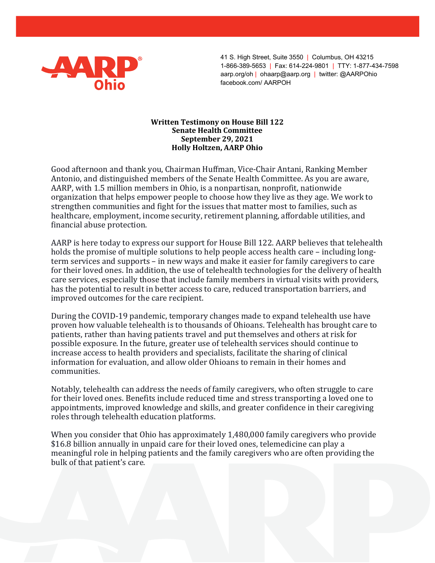

 41 S. High Street, Suite 3550 | Columbus, OH 43215 1-866-389-5653 | Fax: 614-224-9801 | TTY: 1-877-434-7598 aarp.org/oh | ohaarp@aarp.org | twitter: @AARPOhio facebook.com/ AARPOH

## Written Testimony on House Bill 122 Senate Health Committee September 29, 2021 Holly Holtzen, AARP Ohio

Good afternoon and thank you, Chairman Huffman, Vice-Chair Antani, Ranking Member Antonio, and distinguished members of the Senate Health Committee. As you are aware, AARP, with 1.5 million members in Ohio, is a nonpartisan, nonprofit, nationwide organization that helps empower people to choose how they live as they age. We work to strengthen communities and fight for the issues that matter most to families, such as healthcare, employment, income security, retirement planning, affordable utilities, and financial abuse protection.

AARP is here today to express our support for House Bill 122. AARP believes that telehealth holds the promise of multiple solutions to help people access health care – including longterm services and supports – in new ways and make it easier for family caregivers to care for their loved ones. In addition, the use of telehealth technologies for the delivery of health care services, especially those that include family members in virtual visits with providers, has the potential to result in better access to care, reduced transportation barriers, and improved outcomes for the care recipient.

During the COVID-19 pandemic, temporary changes made to expand telehealth use have proven how valuable telehealth is to thousands of Ohioans. Telehealth has brought care to patients, rather than having patients travel and put themselves and others at risk for possible exposure. In the future, greater use of telehealth services should continue to increase access to health providers and specialists, facilitate the sharing of clinical information for evaluation, and allow older Ohioans to remain in their homes and communities.

Notably, telehealth can address the needs of family caregivers, who often struggle to care for their loved ones. Benefits include reduced time and stress transporting a loved one to appointments, improved knowledge and skills, and greater confidence in their caregiving roles through telehealth education platforms.

When you consider that Ohio has approximately 1,480,000 family caregivers who provide \$16.8 billion annually in unpaid care for their loved ones, telemedicine can play a meaningful role in helping patients and the family caregivers who are often providing the bulk of that patient's care.